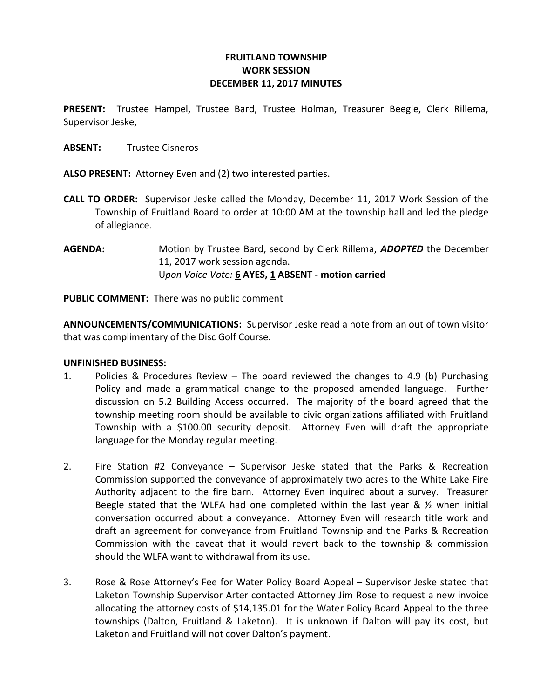# FRUITLAND TOWNSHIP WORK SESSION DECEMBER 11, 2017 MINUTES

PRESENT: Trustee Hampel, Trustee Bard, Trustee Holman, Treasurer Beegle, Clerk Rillema, Supervisor Jeske,

ABSENT: Trustee Cisneros

ALSO PRESENT: Attorney Even and (2) two interested parties.

- CALL TO ORDER: Supervisor Jeske called the Monday, December 11, 2017 Work Session of the Township of Fruitland Board to order at 10:00 AM at the township hall and led the pledge of allegiance.
- AGENDA: Motion by Trustee Bard, second by Clerk Rillema, ADOPTED the December 11, 2017 work session agenda. Upon Voice Vote: 6 AYES, 1 ABSENT - motion carried

PUBLIC COMMENT: There was no public comment

ANNOUNCEMENTS/COMMUNICATIONS: Supervisor Jeske read a note from an out of town visitor that was complimentary of the Disc Golf Course.

#### UNFINISHED BUSINESS:

- 1. Policies & Procedures Review The board reviewed the changes to 4.9 (b) Purchasing Policy and made a grammatical change to the proposed amended language. Further discussion on 5.2 Building Access occurred. The majority of the board agreed that the township meeting room should be available to civic organizations affiliated with Fruitland Township with a \$100.00 security deposit. Attorney Even will draft the appropriate language for the Monday regular meeting.
- 2. Fire Station #2 Conveyance Supervisor Jeske stated that the Parks & Recreation Commission supported the conveyance of approximately two acres to the White Lake Fire Authority adjacent to the fire barn. Attorney Even inquired about a survey. Treasurer Beegle stated that the WLFA had one completed within the last year &  $\frac{1}{2}$  when initial conversation occurred about a conveyance. Attorney Even will research title work and draft an agreement for conveyance from Fruitland Township and the Parks & Recreation Commission with the caveat that it would revert back to the township & commission should the WLFA want to withdrawal from its use.
- 3. Rose & Rose Attorney's Fee for Water Policy Board Appeal Supervisor Jeske stated that Laketon Township Supervisor Arter contacted Attorney Jim Rose to request a new invoice allocating the attorney costs of \$14,135.01 for the Water Policy Board Appeal to the three townships (Dalton, Fruitland & Laketon). It is unknown if Dalton will pay its cost, but Laketon and Fruitland will not cover Dalton's payment.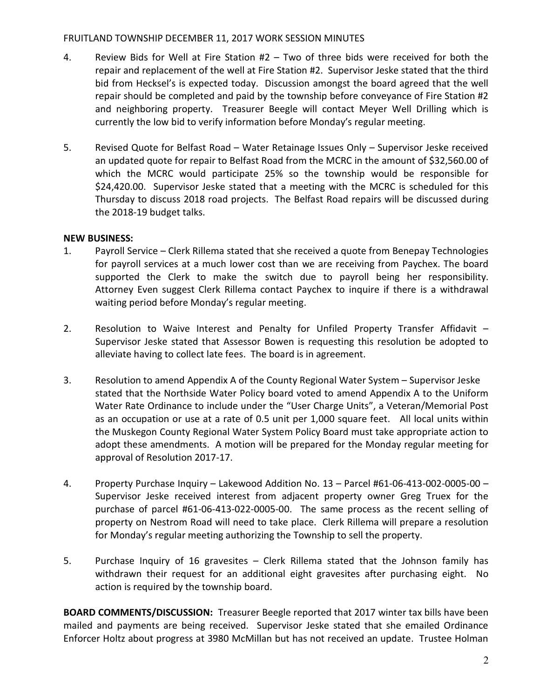# FRUITLAND TOWNSHIP DECEMBER 11, 2017 WORK SESSION MINUTES

- 4. Review Bids for Well at Fire Station #2 Two of three bids were received for both the repair and replacement of the well at Fire Station #2. Supervisor Jeske stated that the third bid from Hecksel's is expected today. Discussion amongst the board agreed that the well repair should be completed and paid by the township before conveyance of Fire Station #2 and neighboring property. Treasurer Beegle will contact Meyer Well Drilling which is currently the low bid to verify information before Monday's regular meeting.
- 5. Revised Quote for Belfast Road Water Retainage Issues Only Supervisor Jeske received an updated quote for repair to Belfast Road from the MCRC in the amount of \$32,560.00 of which the MCRC would participate 25% so the township would be responsible for \$24,420.00. Supervisor Jeske stated that a meeting with the MCRC is scheduled for this Thursday to discuss 2018 road projects. The Belfast Road repairs will be discussed during the 2018-19 budget talks.

# NEW BUSINESS:

- 1. Payroll Service Clerk Rillema stated that she received a quote from Benepay Technologies for payroll services at a much lower cost than we are receiving from Paychex. The board supported the Clerk to make the switch due to payroll being her responsibility. Attorney Even suggest Clerk Rillema contact Paychex to inquire if there is a withdrawal waiting period before Monday's regular meeting.
- 2. Resolution to Waive Interest and Penalty for Unfiled Property Transfer Affidavit Supervisor Jeske stated that Assessor Bowen is requesting this resolution be adopted to alleviate having to collect late fees. The board is in agreement.
- 3. Resolution to amend Appendix A of the County Regional Water System Supervisor Jeske stated that the Northside Water Policy board voted to amend Appendix A to the Uniform Water Rate Ordinance to include under the "User Charge Units", a Veteran/Memorial Post as an occupation or use at a rate of 0.5 unit per 1,000 square feet. All local units within the Muskegon County Regional Water System Policy Board must take appropriate action to adopt these amendments. A motion will be prepared for the Monday regular meeting for approval of Resolution 2017-17.
- 4. Property Purchase Inquiry Lakewood Addition No. 13 Parcel #61-06-413-002-0005-00 Supervisor Jeske received interest from adjacent property owner Greg Truex for the purchase of parcel #61-06-413-022-0005-00. The same process as the recent selling of property on Nestrom Road will need to take place. Clerk Rillema will prepare a resolution for Monday's regular meeting authorizing the Township to sell the property.
- 5. Purchase Inquiry of 16 gravesites Clerk Rillema stated that the Johnson family has withdrawn their request for an additional eight gravesites after purchasing eight. No action is required by the township board.

BOARD COMMENTS/DISCUSSION: Treasurer Beegle reported that 2017 winter tax bills have been mailed and payments are being received. Supervisor Jeske stated that she emailed Ordinance Enforcer Holtz about progress at 3980 McMillan but has not received an update. Trustee Holman